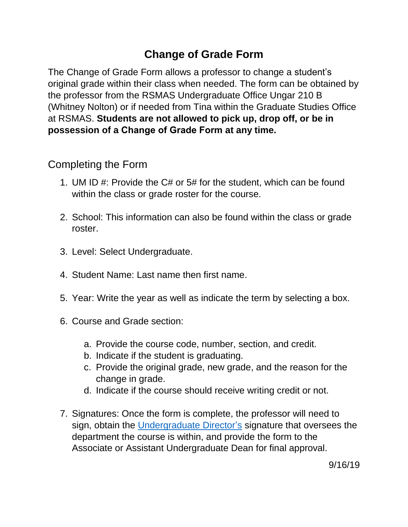## **Change of Grade Form**

The Change of Grade Form allows a professor to change a student's original grade within their class when needed. The form can be obtained by the professor from the RSMAS Undergraduate Office Ungar 210 B (Whitney Nolton) or if needed from Tina within the Graduate Studies Office at RSMAS. **Students are not allowed to pick up, drop off, or be in possession of a Change of Grade Form at any time.**

## Completing the Form

- 1. UM ID #: Provide the C# or 5# for the student, which can be found within the class or grade roster for the course.
- 2. School: This information can also be found within the class or grade roster.
- 3. Level: Select Undergraduate.
- 4. Student Name: Last name then first name.
- 5. Year: Write the year as well as indicate the term by selecting a box.
- 6. Course and Grade section:
	- a. Provide the course code, number, section, and credit.
	- b. Indicate if the student is graduating.
	- c. Provide the original grade, new grade, and the reason for the change in grade.
	- d. Indicate if the course should receive writing credit or not.
- 7. Signatures: Once the form is complete, the professor will need to sign, obtain the [Undergraduate Director's](https://undergraduate.rsmas.miami.edu/about/meet-our-staff/index.html) signature that oversees the department the course is within, and provide the form to the Associate or Assistant Undergraduate Dean for final approval.